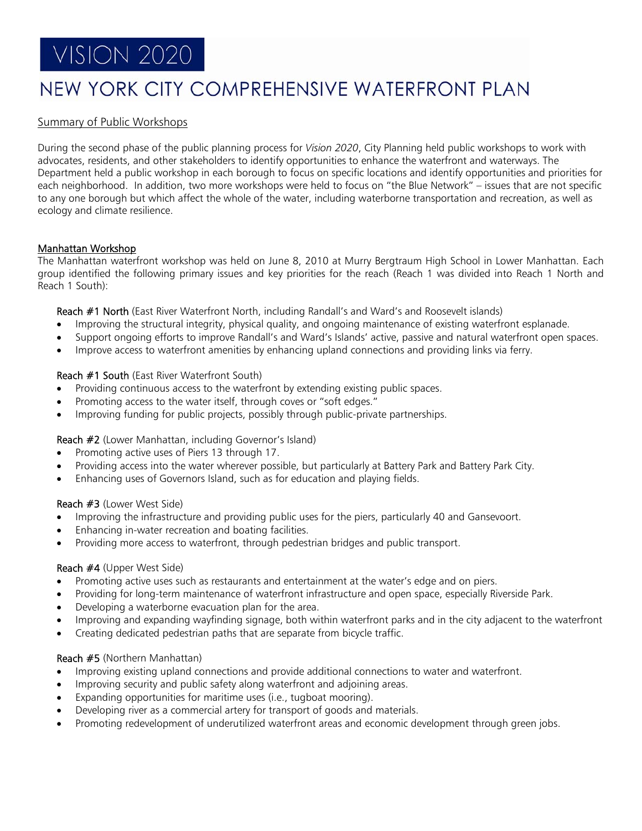# **VISION 2020**

# NEW YORK CITY COMPREHENSIVE WATERFRONT PLAN

# Summary of Public Workshops

During the second phase of the public planning process for *Vision 2020*, City Planning held public workshops to work with advocates, residents, and other stakeholders to identify opportunities to enhance the waterfront and waterways. The Department held a public workshop in each borough to focus on specific locations and identify opportunities and priorities for each neighborhood. In addition, two more workshops were held to focus on "the Blue Network" – issues that are not specific to any one borough but which affect the whole of the water, including waterborne transportation and recreation, as well as ecology and climate resilience.

# Manhattan Workshop

The Manhattan waterfront workshop was held on June 8, 2010 at Murry Bergtraum High School in Lower Manhattan. Each group identified the following primary issues and key priorities for the reach (Reach 1 was divided into Reach 1 North and Reach 1 South):

Reach #1 North (East River Waterfront North, including Randall's and Ward's and Roosevelt islands)

- Improving the structural integrity, physical quality, and ongoing maintenance of existing waterfront esplanade.
- Support ongoing efforts to improve Randall's and Ward's Islands' active, passive and natural waterfront open spaces.
- Improve access to waterfront amenities by enhancing upland connections and providing links via ferry.

# Reach #1 South (East River Waterfront South)

- Providing continuous access to the waterfront by extending existing public spaces.
- Promoting access to the water itself, through coves or "soft edges."
- Improving funding for public projects, possibly through public-private partnerships.

# Reach #2 (Lower Manhattan, including Governor's Island)

- Promoting active uses of Piers 13 through 17.
- Providing access into the water wherever possible, but particularly at Battery Park and Battery Park City.
- Enhancing uses of Governors Island, such as for education and playing fields.

# Reach #3 (Lower West Side)

- Improving the infrastructure and providing public uses for the piers, particularly 40 and Gansevoort.
- Enhancing in-water recreation and boating facilities.
- Providing more access to waterfront, through pedestrian bridges and public transport.

#### Reach #4 (Upper West Side)

- Promoting active uses such as restaurants and entertainment at the water's edge and on piers.
- Providing for long-term maintenance of waterfront infrastructure and open space, especially Riverside Park.
- Developing a waterborne evacuation plan for the area.
- Improving and expanding wayfinding signage, both within waterfront parks and in the city adjacent to the waterfront
- Creating dedicated pedestrian paths that are separate from bicycle traffic.

# Reach #5 (Northern Manhattan)

- Improving existing upland connections and provide additional connections to water and waterfront.
- Improving security and public safety along waterfront and adjoining areas.
- Expanding opportunities for maritime uses (i.e., tugboat mooring).
- Developing river as a commercial artery for transport of goods and materials.
- Promoting redevelopment of underutilized waterfront areas and economic development through green jobs.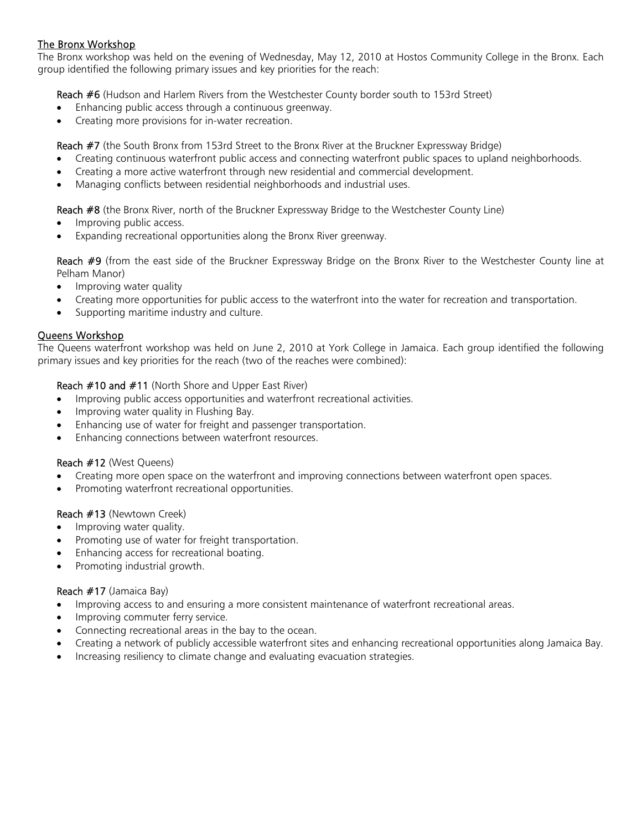# The Bronx Workshop

The Bronx workshop was held on the evening of Wednesday, May 12, 2010 at Hostos Community College in the Bronx. Each group identified the following primary issues and key priorities for the reach:

Reach #6 (Hudson and Harlem Rivers from the Westchester County border south to 153rd Street)

- Enhancing public access through a continuous greenway.
- Creating more provisions for in-water recreation.

Reach #7 (the South Bronx from 153rd Street to the Bronx River at the Bruckner Expressway Bridge)

- Creating continuous waterfront public access and connecting waterfront public spaces to upland neighborhoods.
- Creating a more active waterfront through new residential and commercial development.
- Managing conflicts between residential neighborhoods and industrial uses.

Reach #8 (the Bronx River, north of the Bruckner Expressway Bridge to the Westchester County Line)

- Improving public access.
- Expanding recreational opportunities along the Bronx River greenway.

Reach #9 (from the east side of the Bruckner Expressway Bridge on the Bronx River to the Westchester County line at Pelham Manor)

- Improving water quality
- Creating more opportunities for public access to the waterfront into the water for recreation and transportation.
- Supporting maritime industry and culture.

# Queens Workshop

The Queens waterfront workshop was held on June 2, 2010 at York College in Jamaica. Each group identified the following primary issues and key priorities for the reach (two of the reaches were combined):

# Reach #10 and #11 (North Shore and Upper East River)

- Improving public access opportunities and waterfront recreational activities.
- Improving water quality in Flushing Bay.
- Enhancing use of water for freight and passenger transportation.
- Enhancing connections between waterfront resources.

# Reach #12 (West Queens)

- Creating more open space on the waterfront and improving connections between waterfront open spaces.
- Promoting waterfront recreational opportunities.

# Reach #13 (Newtown Creek)

- Improving water quality.
- Promoting use of water for freight transportation.
- Enhancing access for recreational boating.
- Promoting industrial growth.

# Reach #17 (Jamaica Bay)

- Improving access to and ensuring a more consistent maintenance of waterfront recreational areas.
- Improving commuter ferry service.
- Connecting recreational areas in the bay to the ocean.
- Creating a network of publicly accessible waterfront sites and enhancing recreational opportunities along Jamaica Bay.
- Increasing resiliency to climate change and evaluating evacuation strategies.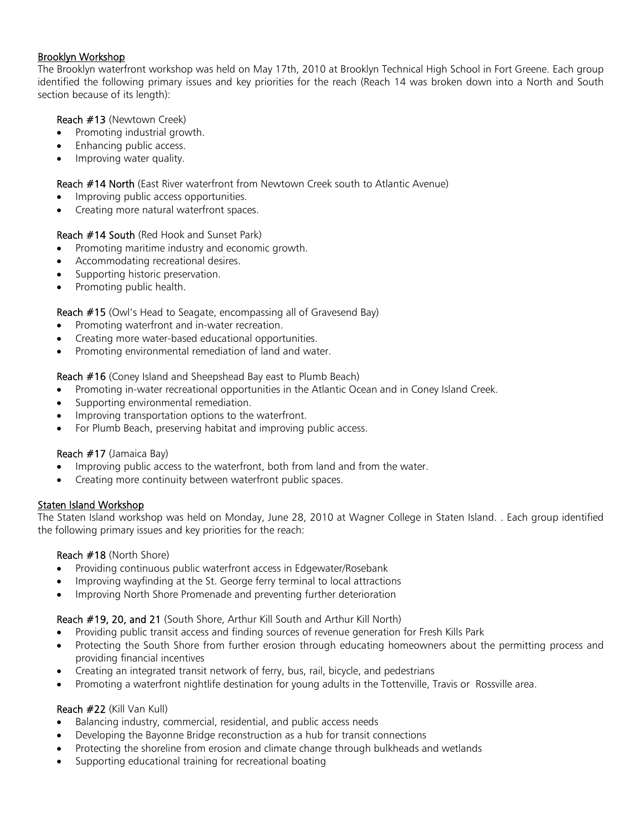# Brooklyn Workshop

The Brooklyn waterfront workshop was held on May 17th, 2010 at Brooklyn Technical High School in Fort Greene. Each group identified the following primary issues and key priorities for the reach (Reach 14 was broken down into a North and South section because of its length):

# Reach #13 (Newtown Creek)

- Promoting industrial growth.
- Enhancing public access.
- Improving water quality.

# Reach #14 North (East River waterfront from Newtown Creek south to Atlantic Avenue)

- Improving public access opportunities.
- Creating more natural waterfront spaces.

# Reach #14 South (Red Hook and Sunset Park)

- Promoting maritime industry and economic growth.
- Accommodating recreational desires.
- Supporting historic preservation.
- Promoting public health.

# Reach #15 (Owl's Head to Seagate, encompassing all of Gravesend Bay)

- Promoting waterfront and in-water recreation.
- Creating more water-based educational opportunities.
- Promoting environmental remediation of land and water.

# Reach #16 (Coney Island and Sheepshead Bay east to Plumb Beach)

- Promoting in-water recreational opportunities in the Atlantic Ocean and in Coney Island Creek.
- Supporting environmental remediation.
- Improving transportation options to the waterfront.
- For Plumb Beach, preserving habitat and improving public access.

# Reach #17 (Jamaica Bay)

- Improving public access to the waterfront, both from land and from the water.
- Creating more continuity between waterfront public spaces.

# Staten Island Workshop

The Staten Island workshop was held on Monday, June 28, 2010 at Wagner College in Staten Island. . Each group identified the following primary issues and key priorities for the reach:

# Reach #18 (North Shore)

- Providing continuous public waterfront access in Edgewater/Rosebank
- Improving wayfinding at the St. George ferry terminal to local attractions
- Improving North Shore Promenade and preventing further deterioration

# Reach #19, 20, and 21 (South Shore, Arthur Kill South and Arthur Kill North)

- Providing public transit access and finding sources of revenue generation for Fresh Kills Park
- Protecting the South Shore from further erosion through educating homeowners about the permitting process and providing financial incentives
- Creating an integrated transit network of ferry, bus, rail, bicycle, and pedestrians
- Promoting a waterfront nightlife destination for young adults in the Tottenville, Travis or Rossville area.

# Reach #22 (Kill Van Kull)

- Balancing industry, commercial, residential, and public access needs
- Developing the Bayonne Bridge reconstruction as a hub for transit connections
- Protecting the shoreline from erosion and climate change through bulkheads and wetlands
- Supporting educational training for recreational boating